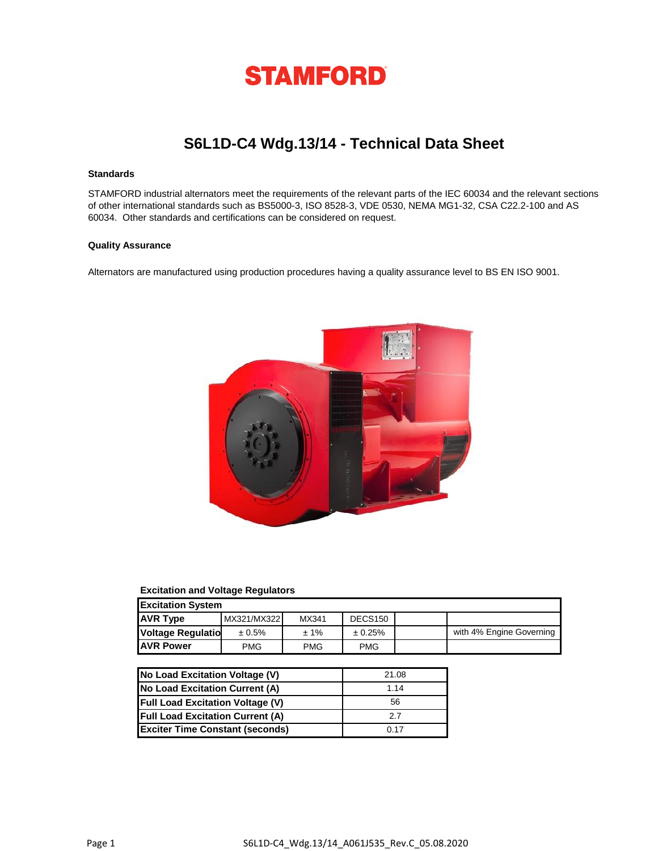

# **S6L1D-C4 Wdg.13/14 - Technical Data Sheet**

#### **Standards**

STAMFORD industrial alternators meet the requirements of the relevant parts of the IEC 60034 and the relevant sections of other international standards such as BS5000-3, ISO 8528-3, VDE 0530, NEMA MG1-32, CSA C22.2-100 and AS 60034. Other standards and certifications can be considered on request.

### **Quality Assurance**

Alternators are manufactured using production procedures having a quality assurance level to BS EN ISO 9001.



#### **Excitation and Voltage Regulators**

| <b>Excitation System</b> |             |         |                     |  |                          |  |  |  |  |  |  |
|--------------------------|-------------|---------|---------------------|--|--------------------------|--|--|--|--|--|--|
| <b>AVR Type</b>          | MX321/MX322 | MX341   | DECS <sub>150</sub> |  |                          |  |  |  |  |  |  |
| <b>Voltage Regulatio</b> | ± 0.5%      | $± 1\%$ | ± 0.25%             |  | with 4% Engine Governing |  |  |  |  |  |  |
| <b>JAVR Power</b>        | <b>PMG</b>  | PMG     | <b>PMG</b>          |  |                          |  |  |  |  |  |  |

| No Load Excitation Voltage (V)          | 21.08 |
|-----------------------------------------|-------|
| No Load Excitation Current (A)          | 1.14  |
| <b>Full Load Excitation Voltage (V)</b> | 56    |
| <b>Full Load Excitation Current (A)</b> | 27    |
| <b>Exciter Time Constant (seconds)</b>  | 0.17  |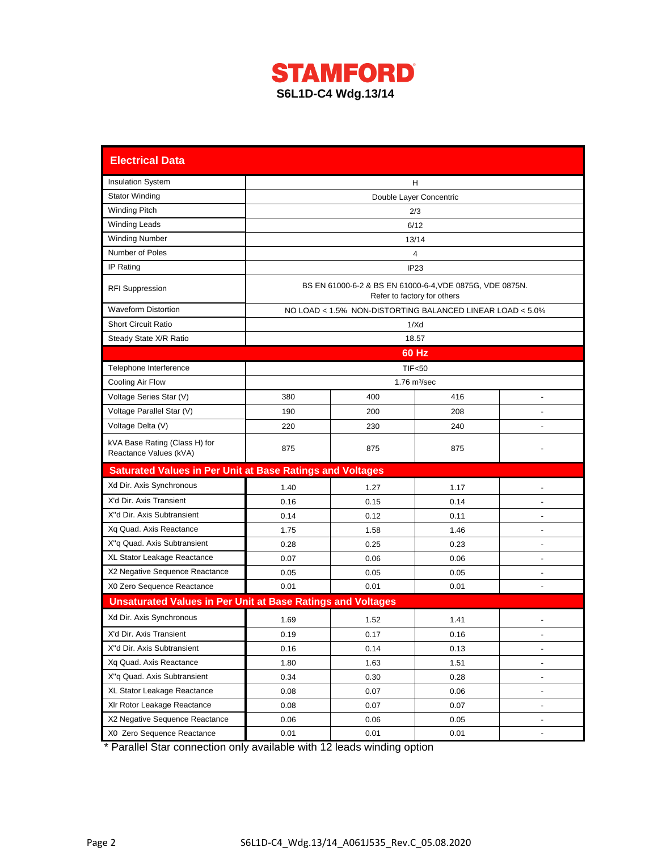

| <b>Electrical Data</b>                                             |                         |      |                                                                                         |                          |  |  |  |  |  |  |  |
|--------------------------------------------------------------------|-------------------------|------|-----------------------------------------------------------------------------------------|--------------------------|--|--|--|--|--|--|--|
| <b>Insulation System</b>                                           | н                       |      |                                                                                         |                          |  |  |  |  |  |  |  |
| <b>Stator Winding</b>                                              | Double Layer Concentric |      |                                                                                         |                          |  |  |  |  |  |  |  |
| <b>Winding Pitch</b>                                               | 2/3                     |      |                                                                                         |                          |  |  |  |  |  |  |  |
| <b>Winding Leads</b>                                               | 6/12                    |      |                                                                                         |                          |  |  |  |  |  |  |  |
| <b>Winding Number</b>                                              | 13/14                   |      |                                                                                         |                          |  |  |  |  |  |  |  |
| Number of Poles                                                    |                         | 4    |                                                                                         |                          |  |  |  |  |  |  |  |
| IP Rating                                                          |                         |      | IP <sub>23</sub>                                                                        |                          |  |  |  |  |  |  |  |
| <b>RFI Suppression</b>                                             |                         |      | BS EN 61000-6-2 & BS EN 61000-6-4, VDE 0875G, VDE 0875N.<br>Refer to factory for others |                          |  |  |  |  |  |  |  |
| <b>Waveform Distortion</b>                                         |                         |      | NO LOAD < 1.5% NON-DISTORTING BALANCED LINEAR LOAD < 5.0%                               |                          |  |  |  |  |  |  |  |
| <b>Short Circuit Ratio</b>                                         |                         |      | 1/Xd                                                                                    |                          |  |  |  |  |  |  |  |
| Steady State X/R Ratio                                             |                         |      | 18.57                                                                                   |                          |  |  |  |  |  |  |  |
|                                                                    |                         |      | 60 Hz                                                                                   |                          |  |  |  |  |  |  |  |
| Telephone Interference                                             |                         |      | <b>TIF&lt;50</b>                                                                        |                          |  |  |  |  |  |  |  |
| Cooling Air Flow                                                   |                         |      | $1.76$ m $\frac{3}{sec}$                                                                |                          |  |  |  |  |  |  |  |
| Voltage Series Star (V)                                            | 380                     | 400  | 416                                                                                     | $\overline{\phantom{a}}$ |  |  |  |  |  |  |  |
| Voltage Parallel Star (V)                                          | 190                     | 200  | 208                                                                                     |                          |  |  |  |  |  |  |  |
| Voltage Delta (V)                                                  | 220                     | 230  | 240                                                                                     | ÷.                       |  |  |  |  |  |  |  |
| kVA Base Rating (Class H) for<br>Reactance Values (kVA)            | 875                     | 875  | 875                                                                                     |                          |  |  |  |  |  |  |  |
| <b>Saturated Values in Per Unit at Base Ratings and Voltages</b>   |                         |      |                                                                                         |                          |  |  |  |  |  |  |  |
| Xd Dir. Axis Synchronous                                           | 1.40                    | 1.27 | 1.17                                                                                    |                          |  |  |  |  |  |  |  |
| X'd Dir. Axis Transient                                            | 0.16                    | 0.15 | 0.14                                                                                    |                          |  |  |  |  |  |  |  |
| X"d Dir. Axis Subtransient                                         | 0.14                    | 0.12 | 0.11                                                                                    | $\blacksquare$           |  |  |  |  |  |  |  |
| Xq Quad. Axis Reactance                                            | 1.75                    | 1.58 | 1.46                                                                                    |                          |  |  |  |  |  |  |  |
| X"q Quad. Axis Subtransient                                        | 0.28                    | 0.25 | 0.23                                                                                    | $\blacksquare$           |  |  |  |  |  |  |  |
| XL Stator Leakage Reactance                                        | 0.07                    | 0.06 | 0.06                                                                                    |                          |  |  |  |  |  |  |  |
| X2 Negative Sequence Reactance                                     | 0.05                    | 0.05 | 0.05                                                                                    |                          |  |  |  |  |  |  |  |
| X0 Zero Sequence Reactance                                         | 0.01                    | 0.01 | 0.01                                                                                    |                          |  |  |  |  |  |  |  |
| <b>Unsaturated Values in Per Unit at Base Ratings and Voltages</b> |                         |      |                                                                                         |                          |  |  |  |  |  |  |  |
| Xd Dir. Axis Synchronous                                           | 1.69                    | 1.52 | 1.41                                                                                    | ä,                       |  |  |  |  |  |  |  |
| X'd Dir. Axis Transient                                            | 0.19                    | 0.17 | 0.16                                                                                    |                          |  |  |  |  |  |  |  |
| X"d Dir. Axis Subtransient                                         | 0.16                    | 0.14 | 0.13                                                                                    |                          |  |  |  |  |  |  |  |
| Xq Quad. Axis Reactance                                            | 1.80                    | 1.63 | 1.51                                                                                    | $\overline{\phantom{a}}$ |  |  |  |  |  |  |  |
| X"q Quad. Axis Subtransient                                        | 0.34                    | 0.30 | 0.28                                                                                    | $\overline{a}$           |  |  |  |  |  |  |  |
| XL Stator Leakage Reactance                                        | 0.08                    | 0.07 | 0.06                                                                                    | $\blacksquare$           |  |  |  |  |  |  |  |
| XIr Rotor Leakage Reactance                                        | 0.08                    | 0.07 | 0.07                                                                                    | $\overline{a}$           |  |  |  |  |  |  |  |
| X2 Negative Sequence Reactance                                     | 0.06                    | 0.06 | 0.05                                                                                    |                          |  |  |  |  |  |  |  |
| X0 Zero Sequence Reactance                                         | 0.01                    | 0.01 | 0.01                                                                                    |                          |  |  |  |  |  |  |  |

\* Parallel Star connection only available with 12 leads winding option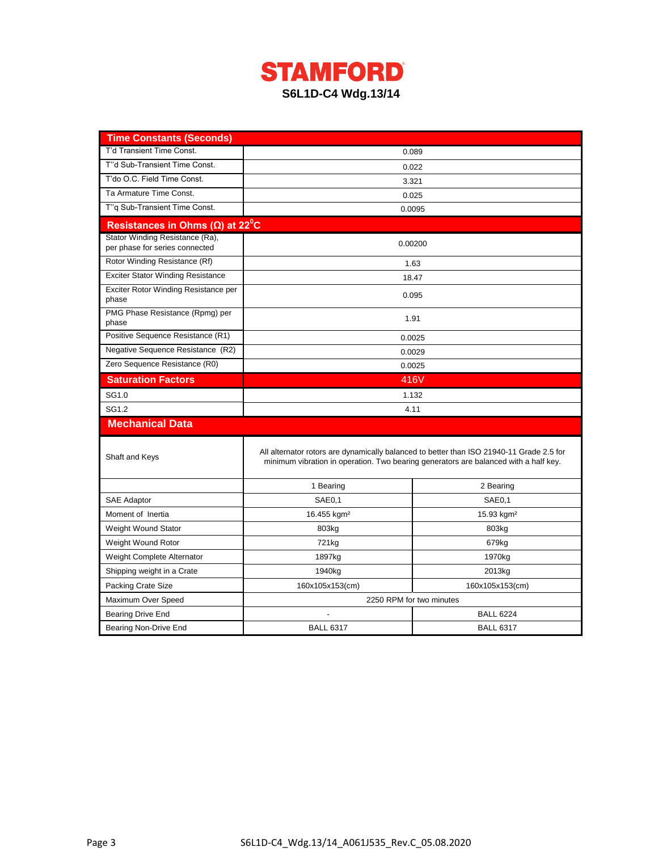

| <b>Time Constants (Seconds)</b>                                   |                                    |                                                                                                                                                                                  |  |  |  |  |  |  |
|-------------------------------------------------------------------|------------------------------------|----------------------------------------------------------------------------------------------------------------------------------------------------------------------------------|--|--|--|--|--|--|
| T'd Transient Time Const.                                         |                                    | 0.089                                                                                                                                                                            |  |  |  |  |  |  |
| T"d Sub-Transient Time Const.                                     |                                    | 0.022                                                                                                                                                                            |  |  |  |  |  |  |
| T'do O.C. Field Time Const.                                       |                                    | 3.321                                                                                                                                                                            |  |  |  |  |  |  |
| Ta Armature Time Const.                                           | 0.025                              |                                                                                                                                                                                  |  |  |  |  |  |  |
| T"q Sub-Transient Time Const.                                     |                                    | 0.0095                                                                                                                                                                           |  |  |  |  |  |  |
| Resistances in Ohms ( $\Omega$ ) at 22 <sup>°</sup> C             |                                    |                                                                                                                                                                                  |  |  |  |  |  |  |
| Stator Winding Resistance (Ra),<br>per phase for series connected | 0.00200                            |                                                                                                                                                                                  |  |  |  |  |  |  |
| Rotor Winding Resistance (Rf)                                     |                                    | 1.63                                                                                                                                                                             |  |  |  |  |  |  |
| <b>Exciter Stator Winding Resistance</b>                          |                                    | 18.47                                                                                                                                                                            |  |  |  |  |  |  |
| Exciter Rotor Winding Resistance per<br>phase                     |                                    | 0.095                                                                                                                                                                            |  |  |  |  |  |  |
| PMG Phase Resistance (Rpmg) per<br>phase                          |                                    | 1.91                                                                                                                                                                             |  |  |  |  |  |  |
| Positive Sequence Resistance (R1)                                 |                                    | 0.0025                                                                                                                                                                           |  |  |  |  |  |  |
| Negative Sequence Resistance (R2)                                 | 0.0029                             |                                                                                                                                                                                  |  |  |  |  |  |  |
| Zero Sequence Resistance (R0)                                     | 0.0025                             |                                                                                                                                                                                  |  |  |  |  |  |  |
| <b>Saturation Factors</b>                                         | 416V                               |                                                                                                                                                                                  |  |  |  |  |  |  |
| SG1.0                                                             | 1.132                              |                                                                                                                                                                                  |  |  |  |  |  |  |
| SG1.2                                                             | 4.11                               |                                                                                                                                                                                  |  |  |  |  |  |  |
| <b>Mechanical Data</b>                                            |                                    |                                                                                                                                                                                  |  |  |  |  |  |  |
| Shaft and Keys                                                    |                                    | All alternator rotors are dynamically balanced to better than ISO 21940-11 Grade 2.5 for<br>minimum vibration in operation. Two bearing generators are balanced with a half key. |  |  |  |  |  |  |
|                                                                   | 1 Bearing                          | 2 Bearing                                                                                                                                                                        |  |  |  |  |  |  |
| <b>SAE Adaptor</b>                                                | SAE <sub>0</sub> ,1                | SAE <sub>0.1</sub>                                                                                                                                                               |  |  |  |  |  |  |
| Moment of Inertia                                                 | 16.455 kgm <sup>2</sup>            | 15.93 kgm <sup>2</sup>                                                                                                                                                           |  |  |  |  |  |  |
| Weight Wound Stator                                               | 803kg                              | 803kg                                                                                                                                                                            |  |  |  |  |  |  |
| Weight Wound Rotor                                                | 721kg                              | 679kg                                                                                                                                                                            |  |  |  |  |  |  |
| Weight Complete Alternator                                        | 1897kg                             | 1970kg                                                                                                                                                                           |  |  |  |  |  |  |
| Shipping weight in a Crate                                        | 1940kg                             | 2013kg                                                                                                                                                                           |  |  |  |  |  |  |
| Packing Crate Size                                                | 160x105x153(cm)<br>160x105x153(cm) |                                                                                                                                                                                  |  |  |  |  |  |  |
| Maximum Over Speed                                                |                                    | 2250 RPM for two minutes                                                                                                                                                         |  |  |  |  |  |  |
| Bearing Drive End                                                 |                                    | <b>BALL 6224</b>                                                                                                                                                                 |  |  |  |  |  |  |
| Bearing Non-Drive End                                             | <b>BALL 6317</b>                   | <b>BALL 6317</b>                                                                                                                                                                 |  |  |  |  |  |  |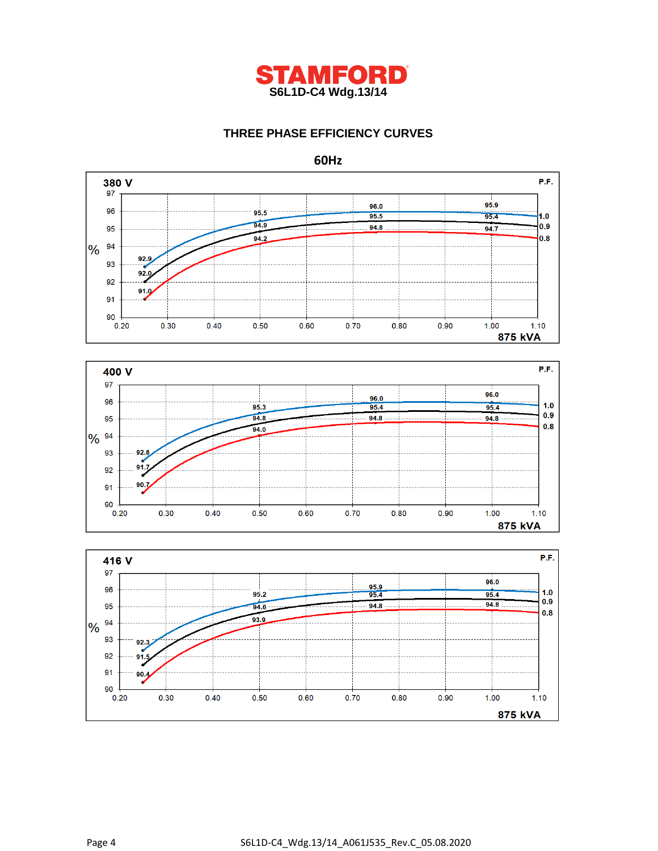

## **THREE PHASE EFFICIENCY CURVES**







**60Hz**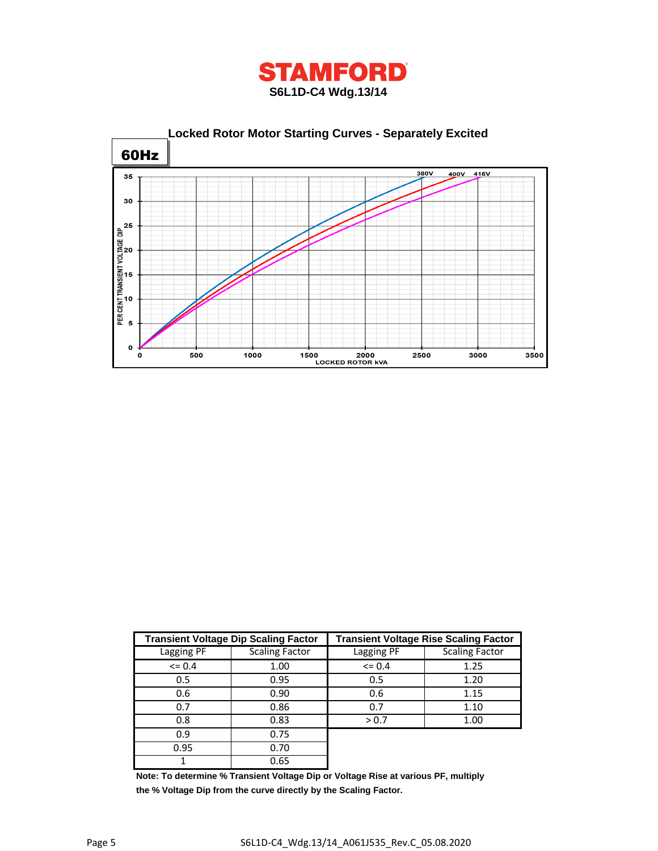



|            | <b>Transient Voltage Dip Scaling Factor</b> | <b>Transient Voltage Rise Scaling Factor</b> |                       |  |  |  |  |
|------------|---------------------------------------------|----------------------------------------------|-----------------------|--|--|--|--|
| Lagging PF | <b>Scaling Factor</b>                       | Lagging PF                                   | <b>Scaling Factor</b> |  |  |  |  |
| $\leq$ 0.4 | 1.00                                        | $\leq 0.4$                                   | 1.25                  |  |  |  |  |
| 0.5        | 0.95                                        | 0.5                                          | 1.20                  |  |  |  |  |
| 0.6        | 0.90                                        | 0.6                                          | 1.15                  |  |  |  |  |
| 0.7        | 0.86                                        | 0.7                                          | 1.10                  |  |  |  |  |
| 0.8        | 0.83                                        | > 0.7                                        | 1.00                  |  |  |  |  |
| 0.9        | 0.75                                        |                                              |                       |  |  |  |  |
| 0.95       | 0.70                                        |                                              |                       |  |  |  |  |
|            | 0.65                                        |                                              |                       |  |  |  |  |

**Note: To determine % Transient Voltage Dip or Voltage Rise at various PF, multiply the % Voltage Dip from the curve directly by the Scaling Factor.**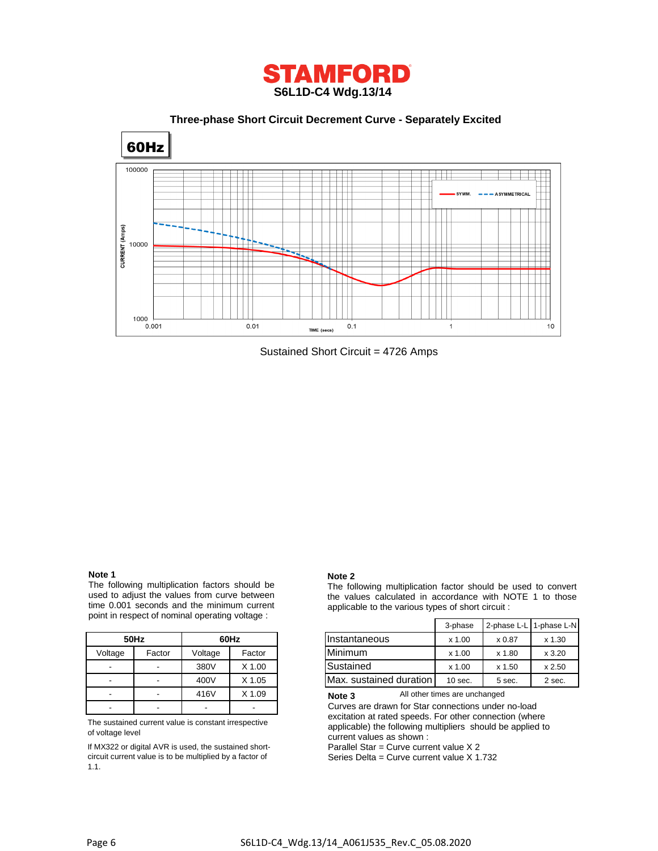

 **Three-phase Short Circuit Decrement Curve - Separately Excited**



Sustained Short Circuit = 4726 Amps

#### **Note 1**

The following multiplication factors should be used to adjust the values from curve between time 0.001 seconds and the minimum current point in respect of nominal operating voltage :

|         | 50Hz   | 60Hz    |          |  |  |  |  |
|---------|--------|---------|----------|--|--|--|--|
| Voltage | Factor | Voltage | Factor   |  |  |  |  |
|         |        | 380V    | $X$ 1.00 |  |  |  |  |
|         |        | 400V    | $X$ 1.05 |  |  |  |  |
|         |        | 416V    | X 1.09   |  |  |  |  |
|         |        |         |          |  |  |  |  |

The sustained current value is constant irrespective of voltage level

If MX322 or digital AVR is used, the sustained shortcircuit current value is to be multiplied by a factor of 1.1.

#### **Note 2**

The following multiplication factor should be used to convert the values calculated in accordance with NOTE 1 to those applicable to the various types of short circuit :

|                          |                          |               |          |                         |          | 2-phase L-L 1-phase L-N |        |
|--------------------------|--------------------------|---------------|----------|-------------------------|----------|-------------------------|--------|
| 60Hz<br>50Hz             |                          | Instantaneous | $x$ 1.00 | x 0.87                  | x 1.30   |                         |        |
| Voltage                  | Factor                   | Voltage       | Factor   | <b>Minimum</b>          | $x$ 1.00 | x 1.80                  | x3.20  |
| $\overline{\phantom{0}}$ | $\overline{\phantom{0}}$ | 380V          | X 1.00   | Sustained               | $x$ 1.00 | $x$ 1.50                | x 2.50 |
| $\overline{\phantom{0}}$ | $\overline{\phantom{a}}$ | 400V          | X 1.05   | Max. sustained duration | 10 sec.  | 5 sec.                  | 2 sec. |

All other times are unchanged **Note 3**

Curves are drawn for Star connections under no-load excitation at rated speeds. For other connection (where applicable) the following multipliers should be applied to current values as shown :

Parallel Star = Curve current value X 2

Series Delta = Curve current value X 1.732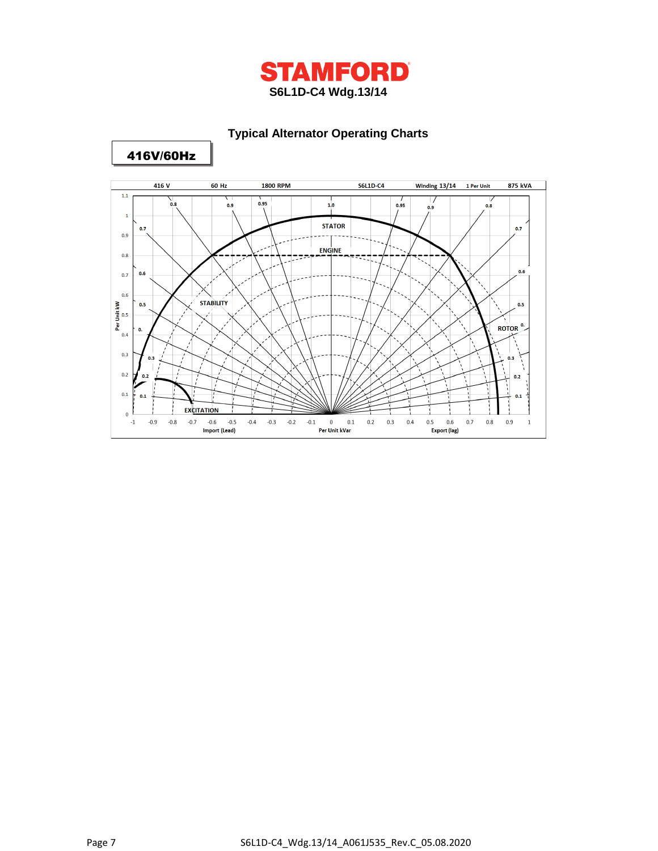

# **Typical Alternator Operating Charts**



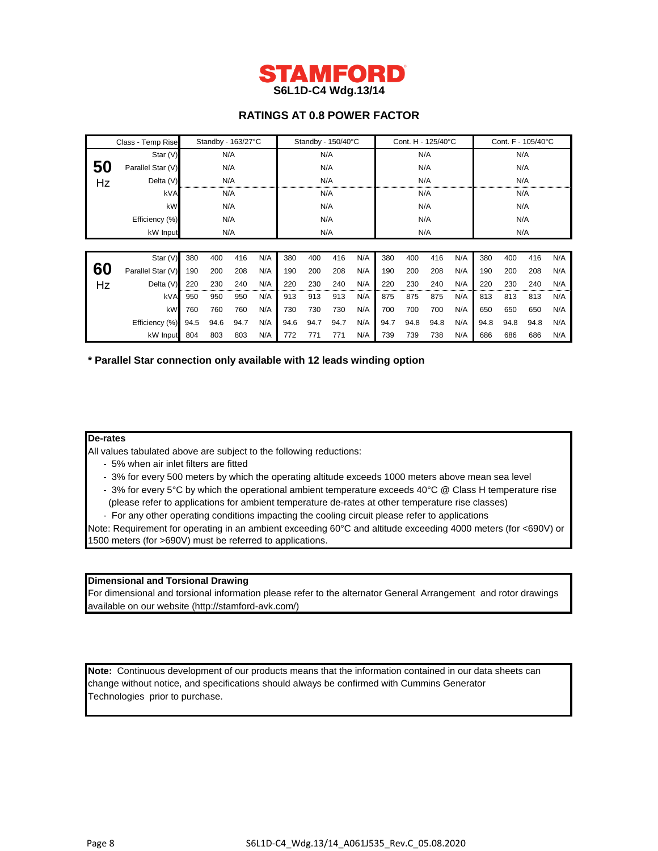

## **RATINGS AT 0.8 POWER FACTOR**

| Class - Temp Rise |                   | Standby - 163/27°C |      |      |     | Standby - 150/40°C |      |      | Cont. H - 125/40°C |      |      |      | Cont. F - 105/40°C |      |      |      |     |
|-------------------|-------------------|--------------------|------|------|-----|--------------------|------|------|--------------------|------|------|------|--------------------|------|------|------|-----|
|                   | Star $(V)$        | N/A                |      | N/A  |     |                    | N/A  |      |                    | N/A  |      |      |                    |      |      |      |     |
| 50                | Parallel Star (V) |                    | N/A  |      | N/A |                    |      | N/A  |                    |      | N/A  |      |                    |      |      |      |     |
| Hz                | Delta (V)         |                    |      | N/A  |     | N/A                |      |      | N/A                |      |      | N/A  |                    |      |      |      |     |
|                   | kVA               |                    |      | N/A  |     | N/A                |      |      | N/A                |      |      | N/A  |                    |      |      |      |     |
|                   | kW                |                    | N/A  |      | N/A |                    |      | N/A  |                    |      | N/A  |      |                    |      |      |      |     |
|                   | Efficiency (%)    |                    | N/A  |      | N/A |                    |      | N/A  |                    |      | N/A  |      |                    |      |      |      |     |
|                   | kW Input          |                    |      | N/A  |     | N/A                |      |      | N/A                |      |      | N/A  |                    |      |      |      |     |
|                   |                   |                    |      |      |     |                    |      |      |                    |      |      |      |                    |      |      |      |     |
|                   | Star (V)          | 380                | 400  | 416  | N/A | 380                | 400  | 416  | N/A                | 380  | 400  | 416  | N/A                | 380  | 400  | 416  | N/A |
| 60                | Parallel Star (V) | 190                | 200  | 208  | N/A | 190                | 200  | 208  | N/A                | 190  | 200  | 208  | N/A                | 190  | 200  | 208  | N/A |
| Hz                | Delta (V)         | 220                | 230  | 240  | N/A | 220                | 230  | 240  | N/A                | 220  | 230  | 240  | N/A                | 220  | 230  | 240  | N/A |
|                   | kVA               | 950                | 950  | 950  | N/A | 913                | 913  | 913  | N/A                | 875  | 875  | 875  | N/A                | 813  | 813  | 813  | N/A |
|                   | kW                | 760                | 760  | 760  | N/A | 730                | 730  | 730  | N/A                | 700  | 700  | 700  | N/A                | 650  | 650  | 650  | N/A |
|                   | Efficiency (%)    | 94.5               | 94.6 | 94.7 | N/A | 94.6               | 94.7 | 94.7 | N/A                | 94.7 | 94.8 | 94.8 | N/A                | 94.8 | 94.8 | 94.8 | N/A |
|                   | kW Input          | 804                | 803  | 803  | N/A | 772                | 771  | 771  | N/A                | 739  | 739  | 738  | N/A                | 686  | 686  | 686  | N/A |

**\* Parallel Star connection only available with 12 leads winding option**

#### **De-rates**

All values tabulated above are subject to the following reductions:

- 5% when air inlet filters are fitted
- 3% for every 500 meters by which the operating altitude exceeds 1000 meters above mean sea level
- 3% for every 5°C by which the operational ambient temperature exceeds 40°C @ Class H temperature rise (please refer to applications for ambient temperature de-rates at other temperature rise classes)
- For any other operating conditions impacting the cooling circuit please refer to applications

Note: Requirement for operating in an ambient exceeding 60°C and altitude exceeding 4000 meters (for <690V) or 1500 meters (for >690V) must be referred to applications.

### **Dimensional and Torsional Drawing**

For dimensional and torsional information please refer to the alternator General Arrangement and rotor drawings available on our website (http://stamford-avk.com/)

**Note:** Continuous development of our products means that the information contained in our data sheets can change without notice, and specifications should always be confirmed with Cummins Generator Technologies prior to purchase.